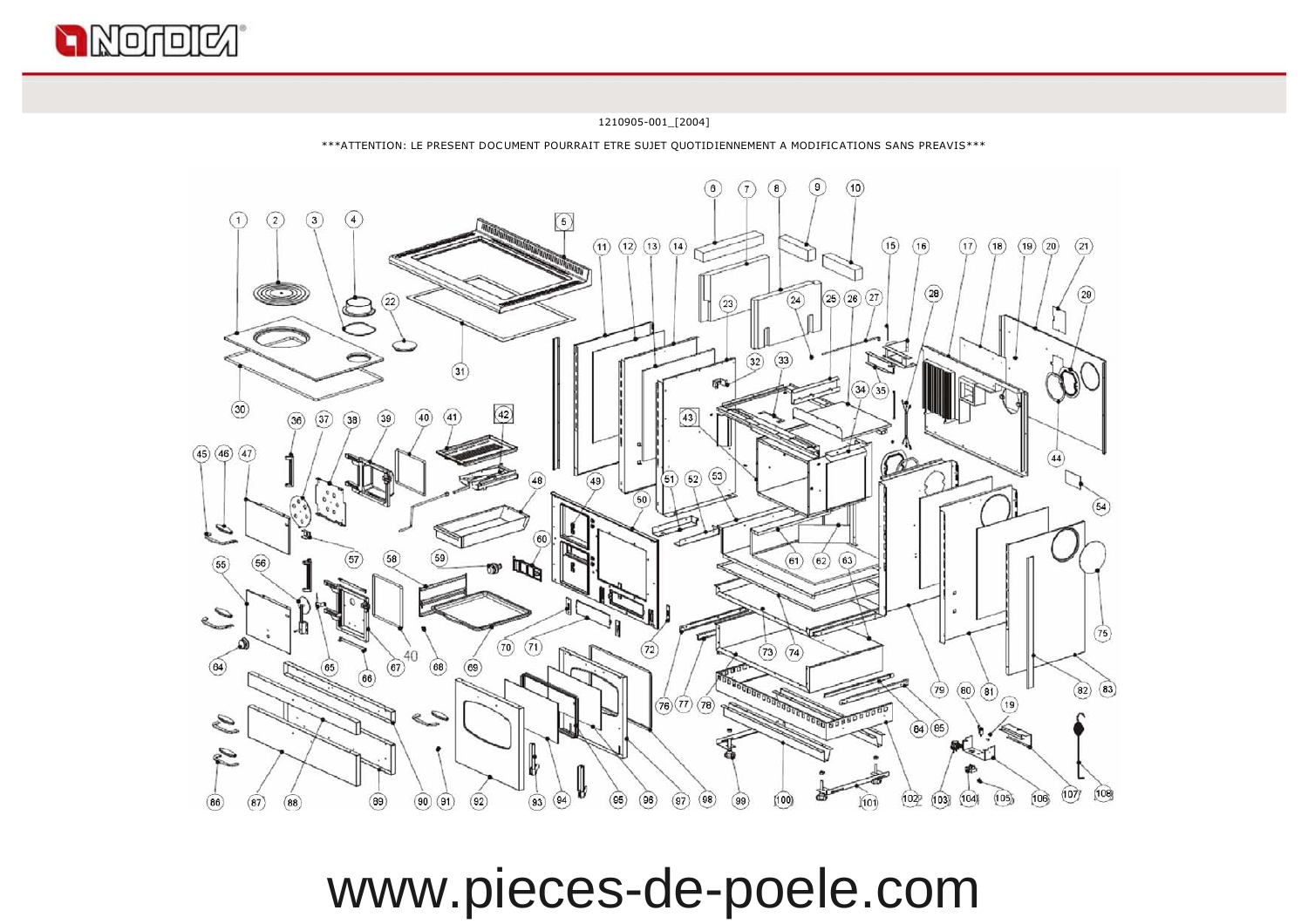

 $(86)$ 

 $(87)$ 

 $(88)$ 

 $\left(9\right)$  $\binom{6}{ }$  $\sqrt{7}$  $\sqrt{8}$  $(10)$  $(2)$  $\sqrt{3}$  $\binom{4}{3}$  $\circled{5}$  $\bigcap$  $(11)$   $(12)$   $(13)$   $(14)$  $(15)$  $(18)$  $(19)(20)$  $(17)$  $(16)$  $(28)$  $(25)(26)(27)$  $(22)$  $(24)$  $(23)$  $\overline{32}$  $\widehat{\mathbf{33}}$  $(31)$ F.  $(34)(35)$  $\circled{30}$  $(42)$  $(36)$  $(37)$  $(38)$  $(45)$   $(46)$   $(47)$  $\left( 44\right)$  $(52)$  $(53)$  $\overline{51}$  $\overline{48}$  $\sqrt{49}$  $(50)$ É  $\widehat{\mathbf{55}}$  $(63)$  $\mathbb{R}^{\mathbb{N}}$  $(61)$  $(62)$  $(56)$ e S  $(70)$   $(71)$  $(73) (74)$  $72$ 40  $\circled{64}$  $(68)$  $(69)$  $(65)$  $(67)$ 66  $(79)$   $(80)$   $(81)$  $(82)$   $(83)$  $(76)$   $(77)$   $(78)$ 19  $\mathcal{C}$ **AND DELI** S  $(84)(85)$ 

1210905-001\_[2004] \*\*\*ATTENTION: LE PRESENT DOCUMENT POURRAIT ETRE SUJET QUOTIDIENNEMENT A MODIFICATIONS SANS PREAVIS\*\*\*

 $(21)$ 

(54)

 $(75)$ 

 $(107)$  $(108)$ 

 $(106)$ 

 $\ll 1$ 

 $(103)$   $(104)$ 

 $(102)$ 

 $(101)$ 

 $(105)$ 

窩

 $(100)$ 

 $(99)$ 

www.pieces-de-poele.com

 $(96)$ 

 $\binom{97}{ }$  $(98)$ 

W

 $\circled{94}$ 

 $(93)$ 

 $(90)(91)$ 

 $(89)$ 

 $\circ$ 

 $\overline{\left(95\right)}$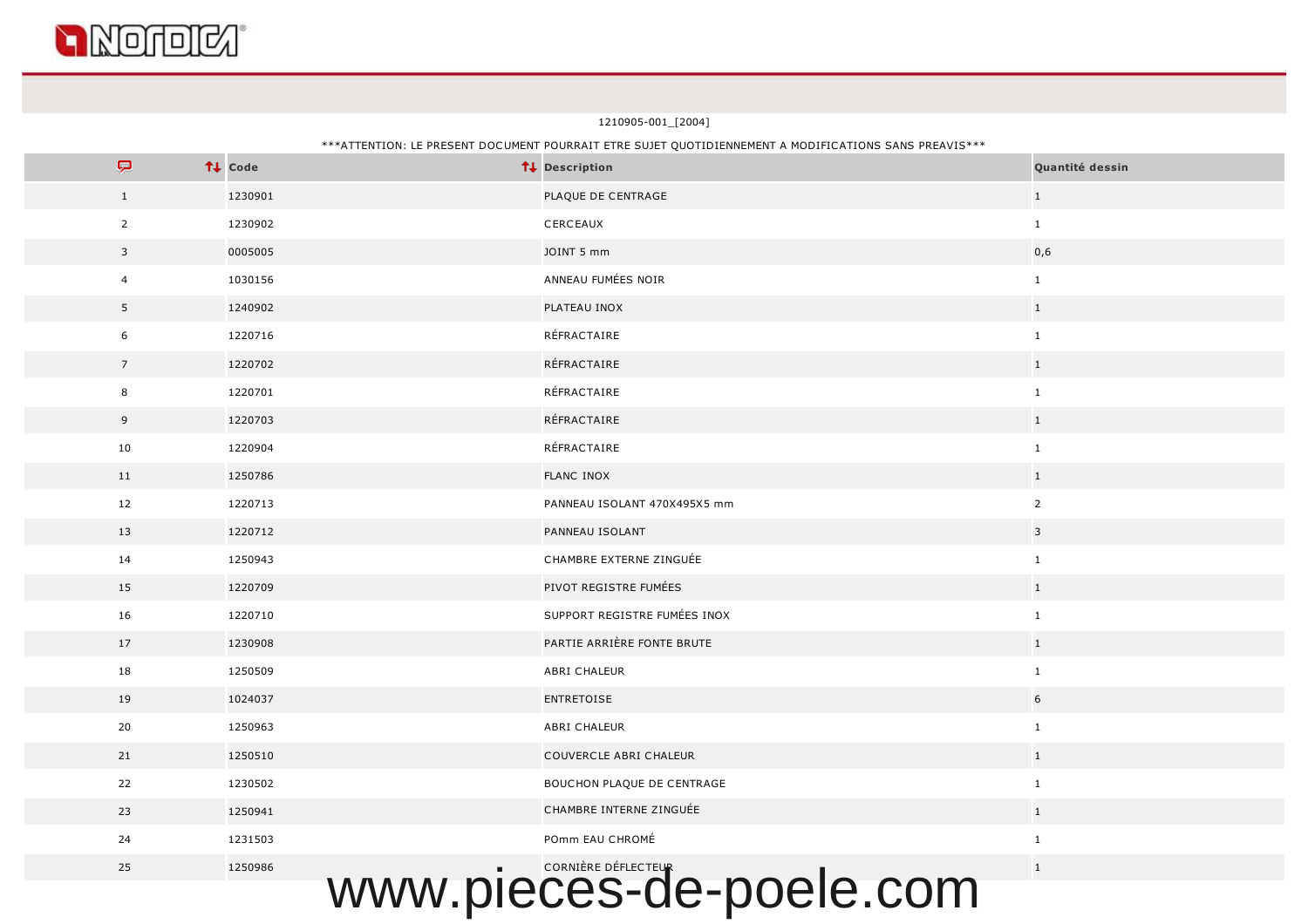

1210905-001\_[2004]

## \*\*\*ATTENTION: LE PRESENT DOCUMENT POURRAIT ETRE SUJET QUOTIDIENNEMENT A MODIFICATIONS SANS PREAVIS\*\*\*

| P                       | ↑↓ Code | ↑↓ Description               | Quantité dessin         |
|-------------------------|---------|------------------------------|-------------------------|
| $\mathbf{1}$            | 1230901 | PLAQUE DE CENTRAGE           | $\mathbf{1}$            |
| $\overline{2}$          | 1230902 | CERCEAUX                     | $\mathbf{1}$            |
| $\overline{\mathbf{3}}$ | 0005005 | JOINT 5 mm                   | 0,6                     |
| $\overline{4}$          | 1030156 | ANNEAU FUMÉES NOIR           | $\mathbf{1}$            |
| 5                       | 1240902 | PLATEAU INOX                 | $\mathbf{1}$            |
| 6                       | 1220716 | RÉFRACTAIRE                  | $\mathbf{1}$            |
| $7\overline{ }$         | 1220702 | RÉFRACTAIRE                  | $\mathbf{1}$            |
| 8                       | 1220701 | RÉFRACTAIRE                  | $\mathbf{1}$            |
| 9                       | 1220703 | RÉFRACTAIRE                  | 1                       |
| 10                      | 1220904 | RÉFRACTAIRE                  | $\mathbf{1}$            |
| 11                      | 1250786 | <b>FLANC INOX</b>            | $\mathbf{1}$            |
| 12                      | 1220713 | PANNEAU ISOLANT 470X495X5 mm | $\overline{2}$          |
| 13                      | 1220712 | PANNEAU ISOLANT              | $\overline{\mathbf{3}}$ |
| 14                      | 1250943 | CHAMBRE EXTERNE ZINGUÉE      | $\mathbf{1}$            |
| 15                      | 1220709 | PIVOT REGISTRE FUMÉES        | $\mathbf{1}$            |
| 16                      | 1220710 | SUPPORT REGISTRE FUMÉES INOX | $\mathbf{1}$            |
| 17                      | 1230908 | PARTIE ARRIÈRE FONTE BRUTE   | $1\,$                   |
| 18                      | 1250509 | ABRI CHALEUR                 | $\mathbf{1}$            |
| 19                      | 1024037 | <b>ENTRETOISE</b>            | 6                       |
| 20                      | 1250963 | ABRI CHALEUR                 | $\mathbf{1}$            |
| 21                      | 1250510 | COUVERCLE ABRI CHALEUR       | 1                       |
| 22                      | 1230502 | BOUCHON PLAQUE DE CENTRAGE   | $\mathbf{1}$            |
| 23                      | 1250941 | CHAMBRE INTERNE ZINGUÉE      | $\mathbf{1}$            |
| 24                      | 1231503 | POmm EAU CHROMÉ              | $\mathbf{1}$            |
| 25                      | 1250986 | CORNIÈRE DÉFLECTEUR          | $\mathbf{1}$            |
|                         |         | WWW.pieces-de-poele.com      |                         |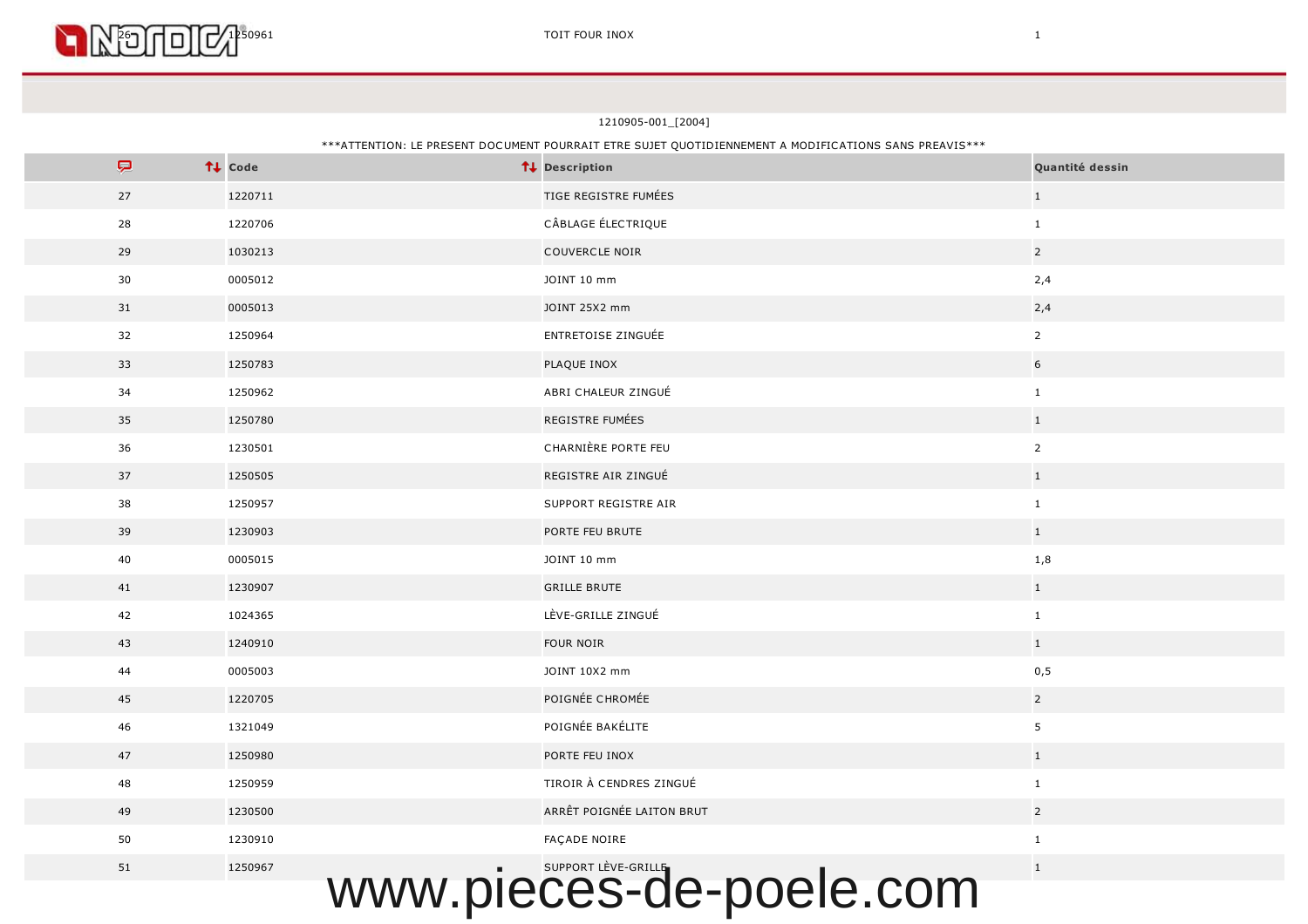

| $\boldsymbol{\nabla}$ | ↑↓ Code                         | ↑↓ Description                             | Quantité dessin |
|-----------------------|---------------------------------|--------------------------------------------|-----------------|
| 27                    | 1220711                         | TIGE REGISTRE FUMÉES                       | $\mathbf{1}$    |
| 28                    | 1220706                         | CÂBLAGE ÉLECTRIQUE                         | $\mathbf{1}$    |
| 29                    | 1030213                         | <b>COUVERCLE NOIR</b>                      | $\overline{2}$  |
| 30                    | 0005012                         | JOINT 10 mm                                | 2,4             |
| 31                    | 0005013                         | JOINT 25X2 mm                              | 2,4             |
| 32                    | 1250964                         | ENTRETOISE ZINGUÉE                         | $\overline{2}$  |
| 33                    | 1250783                         | PLAQUE INOX                                | $6\overline{6}$ |
| 34                    | 1250962                         | ABRI CHALEUR ZINGUÉ                        | $\mathbf{1}$    |
| 35                    | 1250780                         | REGISTRE FUMÉES                            | $\mathbf 1$     |
| 36                    | 1230501                         | CHARNIÈRE PORTE FEU                        | $\mathbf{2}$    |
| 37                    | 1250505                         | REGISTRE AIR ZINGUÉ                        | $1\,$           |
| 38                    | 1250957                         | SUPPORT REGISTRE AIR                       | $\mathbf 1$     |
| 39                    | 1230903                         | PORTE FEU BRUTE                            | $1\,$           |
| 40                    | 0005015                         | JOINT 10 mm                                | $1,8$           |
| 41                    | 1230907                         | <b>GRILLE BRUTE</b>                        | $\mathbf{1}$    |
| 42                    | 1024365                         | LÈVE-GRILLE ZINGUÉ                         | $\mathbf{1}$    |
| 43                    | 1240910                         | FOUR NOIR                                  | $1$ $\,$        |
| 44                    | 0005003                         | JOINT 10X2 mm                              | 0,5             |
| 45                    | 1220705                         | POIGNÉE CHROMÉE                            | $\overline{2}$  |
| 46                    | 1321049                         | POIGNÉE BAKÉLITE                           | 5 <sub>5</sub>  |
| 47                    | 1250980                         | PORTE FEU INOX                             | $1$ $\,$        |
| 48                    | 1250959                         | TIROIR À CENDRES ZINGUÉ                    | $\mathbf{1}$    |
| 49                    | 1230500                         | ARRÊT POIGNÉE LAITON BRUT                  | $\overline{2}$  |
| 50                    | 1230910                         | FAÇADE NOIRE                               | $\mathbf{1}$    |
| 51                    | 1250967<br><i><b>WANAZI</b></i> | SUPPORT LÈVE-GRILLE<br>nieces-de-noele com | $\mathbf{1}$    |

#### \*\*\*ATTENTION: LE PRESENT DOCUMENT POURRAIT ETRE SUJET QUOTIDIENNEMENT A MODIFICATIONS SANS PREAVIS\*\*\*

TOIT FOUR INOX TOTT FOUR INOX 1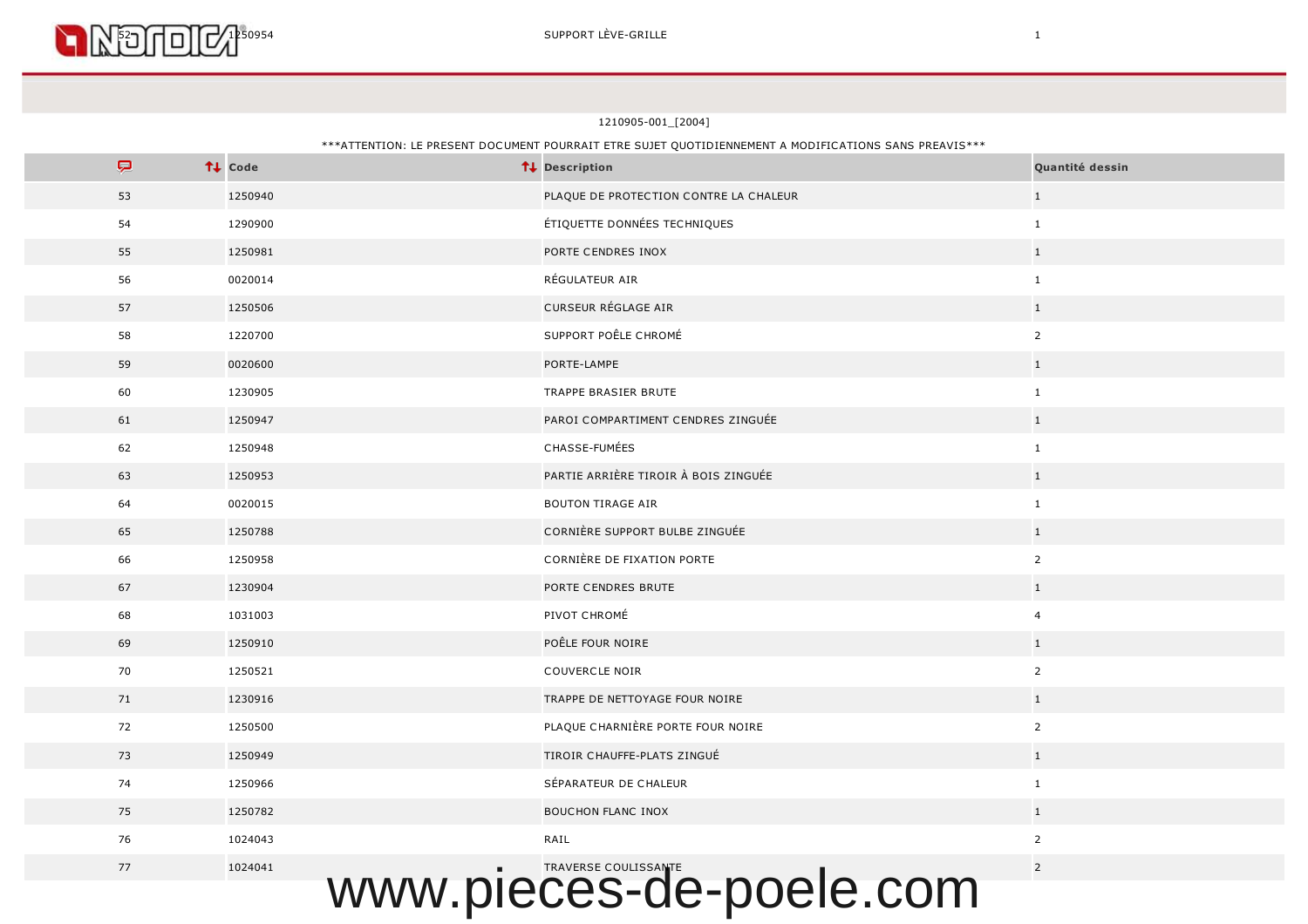

1210905-001\_[2004]

## \*\*\*ATTENTION: LE PRESENT DOCUMENT POURRAIT ETRE SUJET QUOTIDIENNEMENT A MODIFICATIONS SANS PREAVIS\*\*\*

| Ç  | ↑↓ Code | ↑↓ Description                         | Quantité dessin |
|----|---------|----------------------------------------|-----------------|
| 53 | 1250940 | PLAQUE DE PROTECTION CONTRE LA CHALEUR | 1               |
| 54 | 1290900 | ÉTIQUETTE DONNÉES TECHNIQUES           | $\mathbf{1}$    |
| 55 | 1250981 | PORTE CENDRES INOX                     | $\mathbf{1}$    |
| 56 | 0020014 | RÉGULATEUR AIR                         | $\mathbf{1}$    |
| 57 | 1250506 | CURSEUR RÉGLAGE AIR                    | $\mathbf{1}$    |
| 58 | 1220700 | SUPPORT POÊLE CHROMÉ                   | $\overline{2}$  |
| 59 | 0020600 | PORTE-LAMPE                            | $\mathbf 1$     |
| 60 | 1230905 | TRAPPE BRASIER BRUTE                   | $\mathbf{1}$    |
| 61 | 1250947 | PAROI COMPARTIMENT CENDRES ZINGUÉE     | $1\,$           |
| 62 | 1250948 | CHASSE-FUMÉES                          | $\mathbf{1}$    |
| 63 | 1250953 | PARTIE ARRIÈRE TIROIR À BOIS ZINGUÉE   | $1\,$           |
| 64 | 0020015 | <b>BOUTON TIRAGE AIR</b>               | $\mathbf{1}$    |
| 65 | 1250788 | CORNIÈRE SUPPORT BULBE ZINGUÉE         | $\mathbf{1}$    |
| 66 | 1250958 | CORNIÈRE DE FIXATION PORTE             | $\overline{2}$  |
| 67 | 1230904 | PORTE CENDRES BRUTE                    | $\mathbf 1$     |
| 68 | 1031003 | PIVOT CHROMÉ                           | $\overline{4}$  |
| 69 | 1250910 | POÊLE FOUR NOIRE                       | 1               |
| 70 | 1250521 | COUVERCLE NOIR                         | $\overline{2}$  |
| 71 | 1230916 | TRAPPE DE NETTOYAGE FOUR NOIRE         | $\mathbf{1}$    |
| 72 | 1250500 | PLAQUE CHARNIÈRE PORTE FOUR NOIRE      | $\overline{2}$  |
| 73 | 1250949 | TIROIR CHAUFFE-PLATS ZINGUÉ            | $\mathbf{1}$    |
| 74 | 1250966 | SÉPARATEUR DE CHALEUR                  | $\mathbf{1}$    |
| 75 | 1250782 | <b>BOUCHON FLANC INOX</b>              | $\mathbf{1}$    |
| 76 | 1024043 | RAIL                                   | $2^{\circ}$     |
| 77 | 1024041 |                                        | $\overline{2}$  |
|    |         | WWW.pieces-de-poele.com                |                 |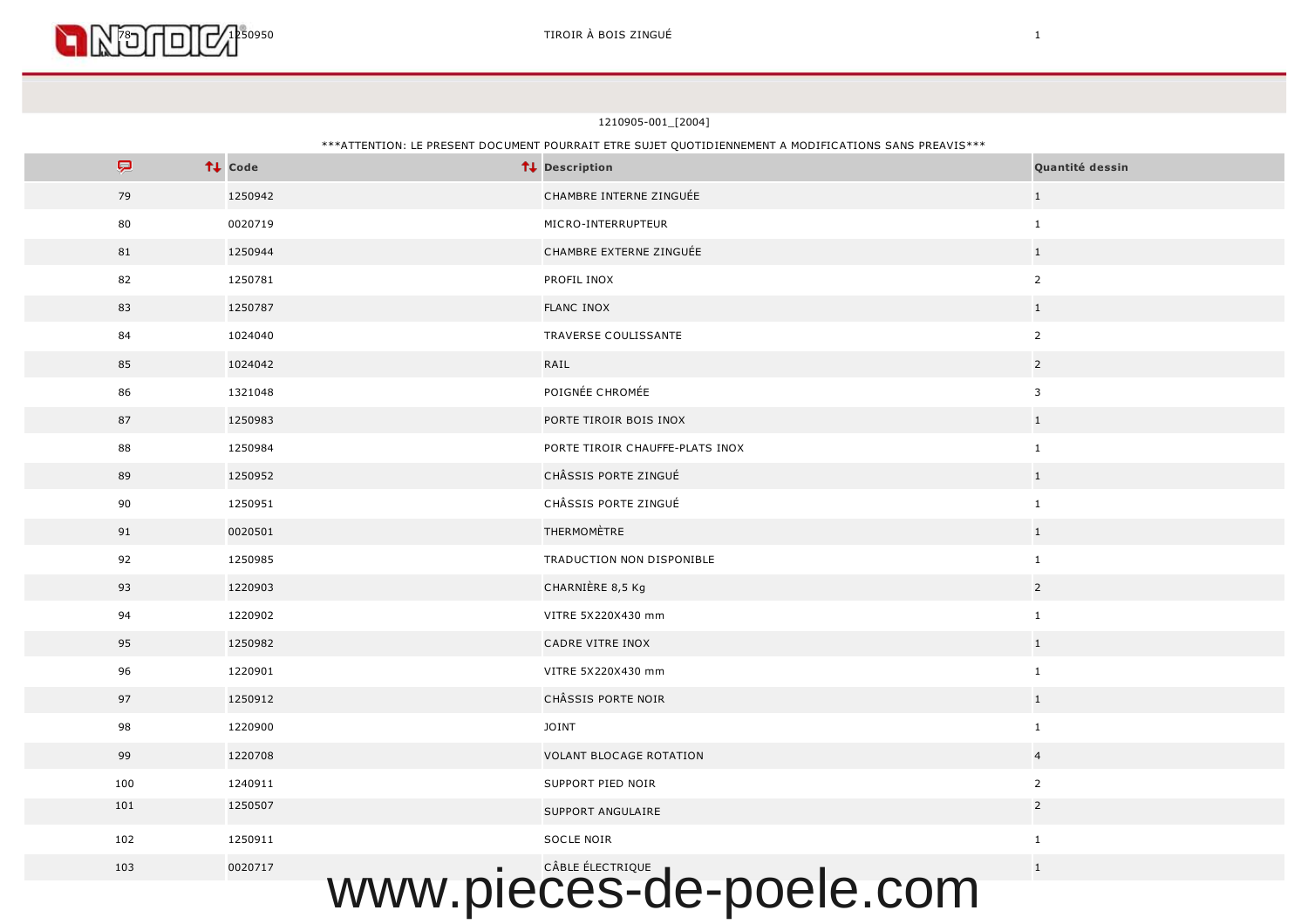

# \*\*\*ATTENTION: LE PRESENT DOCUMENT POURRAIT ETRE SUJET QUOTIDIENNEMENT A MODIFICATIONS SANS PREAVIS\*\*\*

| P                       | ↑↓ Code | ↑↓ Description                  | Quantité dessin |  |  |
|-------------------------|---------|---------------------------------|-----------------|--|--|
| 79                      | 1250942 | CHAMBRE INTERNE ZINGUÉE         | $\mathbf{1}$    |  |  |
| 80                      | 0020719 | MICRO-INTERRUPTEUR              | $\mathbf{1}$    |  |  |
| 81                      | 1250944 | CHAMBRE EXTERNE ZINGUÉE         | $\mathbf{1}$    |  |  |
| 82                      | 1250781 | PROFIL INOX                     | $\overline{2}$  |  |  |
| 83                      | 1250787 | <b>FLANC INOX</b>               | $\mathbf{1}$    |  |  |
| 84                      | 1024040 | TRAVERSE COULISSANTE            | $\overline{2}$  |  |  |
| 85                      | 1024042 | RAIL                            | $\overline{2}$  |  |  |
| 86                      | 1321048 | POIGNÉE CHROMÉE                 | $\overline{3}$  |  |  |
| 87                      | 1250983 | PORTE TIROIR BOIS INOX          | $\mathbf{1}$    |  |  |
| 88                      | 1250984 | PORTE TIROIR CHAUFFE-PLATS INOX | $\mathbf{1}$    |  |  |
| 89                      | 1250952 | CHÂSSIS PORTE ZINGUÉ            | $\mathbf{1}$    |  |  |
| 90                      | 1250951 | CHÂSSIS PORTE ZINGUÉ            | $\mathbf{1}$    |  |  |
| 91                      | 0020501 | THERMOMÈTRE                     | $\mathbf{1}$    |  |  |
| 92                      | 1250985 | TRADUCTION NON DISPONIBLE       | $\mathbf{1}$    |  |  |
| 93                      | 1220903 | CHARNIÈRE 8,5 Kg                | $\overline{2}$  |  |  |
| 94                      | 1220902 | VITRE 5X220X430 mm              | $\mathbf{1}$    |  |  |
| 95                      | 1250982 | CADRE VITRE INOX                | $\mathbf{1}$    |  |  |
| 96                      | 1220901 | VITRE 5X220X430 mm              | $\mathbf{1}$    |  |  |
| 97                      | 1250912 | CHÂSSIS PORTE NOIR              | $1\,$           |  |  |
| 98                      | 1220900 | <b>JOINT</b>                    | $\mathbf{1}$    |  |  |
| 99                      | 1220708 | <b>VOLANT BLOCAGE ROTATION</b>  | $\overline{4}$  |  |  |
| 100                     | 1240911 | SUPPORT PIED NOIR               | $\overline{2}$  |  |  |
| 101                     | 1250507 | SUPPORT ANGULAIRE               | $\overline{2}$  |  |  |
| 102                     | 1250911 | SOCLE NOIR                      | $\mathbf{1}$    |  |  |
| 103                     | 0020717 | CÂBLE ÉLECTRIQUE                | $1\,$           |  |  |
| www.pieces-de-poele.com |         |                                 |                 |  |  |